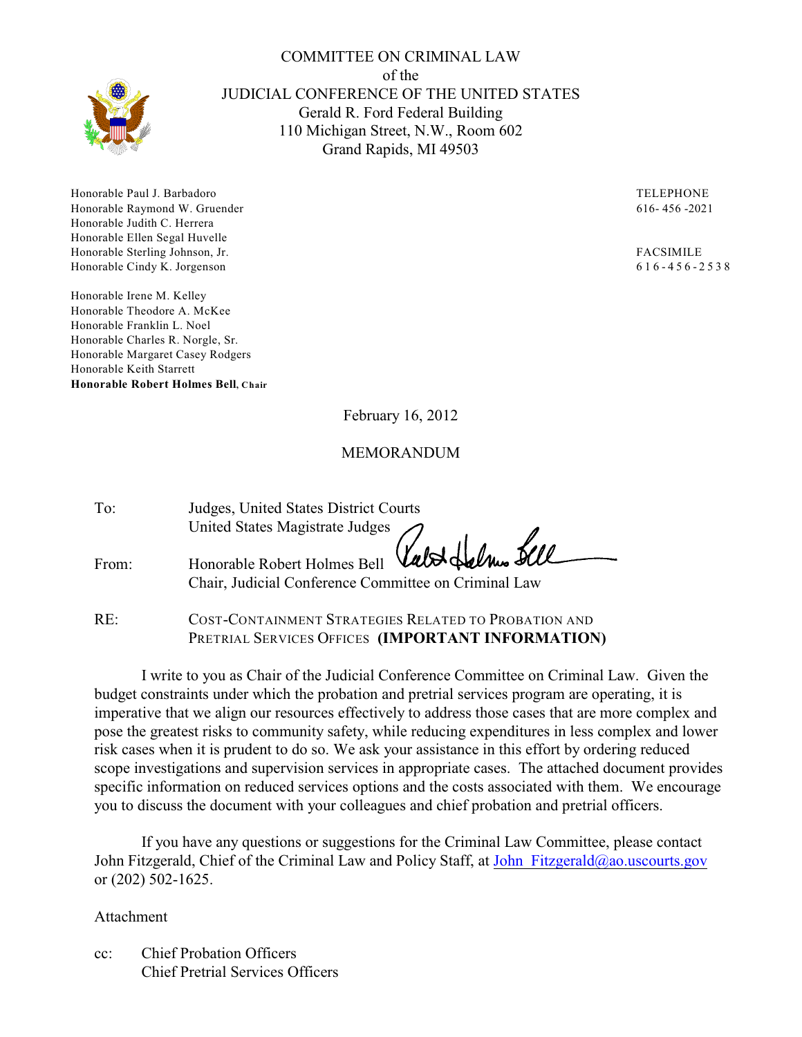

Honorable Paul J. Barbadoro TELEPHONE Honorable Raymond W. Gruender 616- 456 -2021 Honorable Judith C. Herrera Honorable Ellen Segal Huvelle Honorable Sterling Johnson, Jr. FACSIMILE Honorable Cindy K. Jorgenson 6 1 6 - 4 5 6 - 2 5 3 8

Honorable Irene M. Kelley Honorable Theodore A. McKee Honorable Franklin L. Noel Honorable Charles R. Norgle, Sr. Honorable Margaret Casey Rodgers Honorable Keith Starrett **Honorable Robert Holmes Bell, Chair**

February 16, 2012

COMMITTEE ON CRIMINAL LAW of the JUDICIAL CONFERENCE OF THE UNITED STATES Gerald R. Ford Federal Building 110 Michigan Street, N.W., Room 602 Grand Rapids, MI 49503

#### MEMORANDUM

| To:   | Judges, United States District Courts                                             |
|-------|-----------------------------------------------------------------------------------|
|       | United States Magistrate Judges<br>Honorable Robert Holmes Bell Valod Selmes Sell |
|       |                                                                                   |
| From: |                                                                                   |
|       | Chair, Judicial Conference Committee on Criminal Law                              |
|       |                                                                                   |

RE: COST-CONTAINMENT STRATEGIES RELATED TO PROBATION AND PRETRIAL SERVICES OFFICES **(IMPORTANT INFORMATION)**

I write to you as Chair of the Judicial Conference Committee on Criminal Law. Given the budget constraints under which the probation and pretrial services program are operating, it is imperative that we align our resources effectively to address those cases that are more complex and pose the greatest risks to community safety, while reducing expenditures in less complex and lower risk cases when it is prudent to do so. We ask your assistance in this effort by ordering reduced scope investigations and supervision services in appropriate cases. The attached document provides specific information on reduced services options and the costs associated with them. We encourage you to discuss the document with your colleagues and chief probation and pretrial officers.

If you have any questions or suggestions for the Criminal Law Committee, please contact John Fitzgerald, Chief of the Criminal Law and Policy Staff, at John Fitzgerald@ao.uscourts.gov or (202) 502-1625.

Attachment

cc: Chief Probation Officers Chief Pretrial Services Officers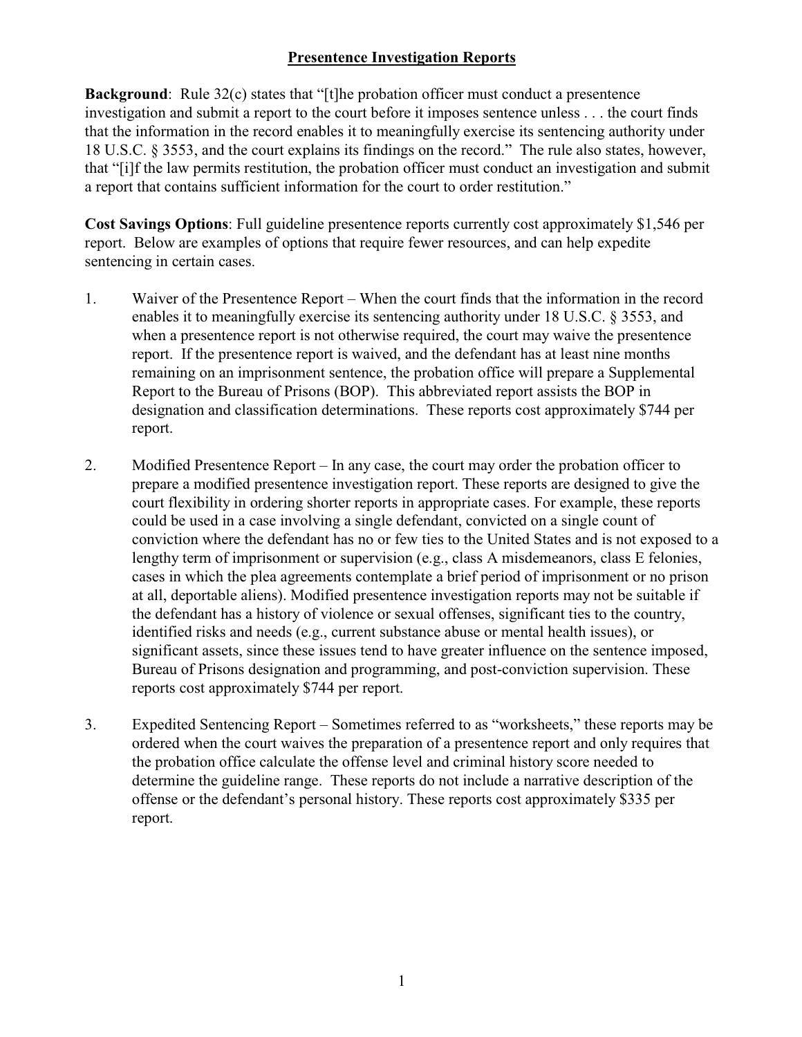## **Presentence Investigation Reports**

**Background**: Rule 32(c) states that "[t]he probation officer must conduct a presentence investigation and submit a report to the court before it imposes sentence unless . . . the court finds that the information in the record enables it to meaningfully exercise its sentencing authority under 18 U.S.C. § 3553, and the court explains its findings on the record." The rule also states, however, that "[i]f the law permits restitution, the probation officer must conduct an investigation and submit a report that contains sufficient information for the court to order restitution."

**Cost Savings Options**: Full guideline presentence reports currently cost approximately \$1,546 per report. Below are examples of options that require fewer resources, and can help expedite sentencing in certain cases.

- 1. Waiver of the Presentence Report When the court finds that the information in the record enables it to meaningfully exercise its sentencing authority under 18 U.S.C. § 3553, and when a presentence report is not otherwise required, the court may waive the presentence report. If the presentence report is waived, and the defendant has at least nine months remaining on an imprisonment sentence, the probation office will prepare a Supplemental Report to the Bureau of Prisons (BOP). This abbreviated report assists the BOP in designation and classification determinations. These reports cost approximately \$744 per report.
- 2. Modified Presentence Report In any case, the court may order the probation officer to prepare a modified presentence investigation report. These reports are designed to give the court flexibility in ordering shorter reports in appropriate cases. For example, these reports could be used in a case involving a single defendant, convicted on a single count of conviction where the defendant has no or few ties to the United States and is not exposed to a lengthy term of imprisonment or supervision (e.g., class A misdemeanors, class E felonies, cases in which the plea agreements contemplate a brief period of imprisonment or no prison at all, deportable aliens). Modified presentence investigation reports may not be suitable if the defendant has a history of violence or sexual offenses, significant ties to the country, identified risks and needs (e.g., current substance abuse or mental health issues), or significant assets, since these issues tend to have greater influence on the sentence imposed, Bureau of Prisons designation and programming, and post-conviction supervision. These reports cost approximately \$744 per report.
- 3. Expedited Sentencing Report Sometimes referred to as "worksheets," these reports may be ordered when the court waives the preparation of a presentence report and only requires that the probation office calculate the offense level and criminal history score needed to determine the guideline range. These reports do not include a narrative description of the offense or the defendant's personal history. These reports cost approximately \$335 per report.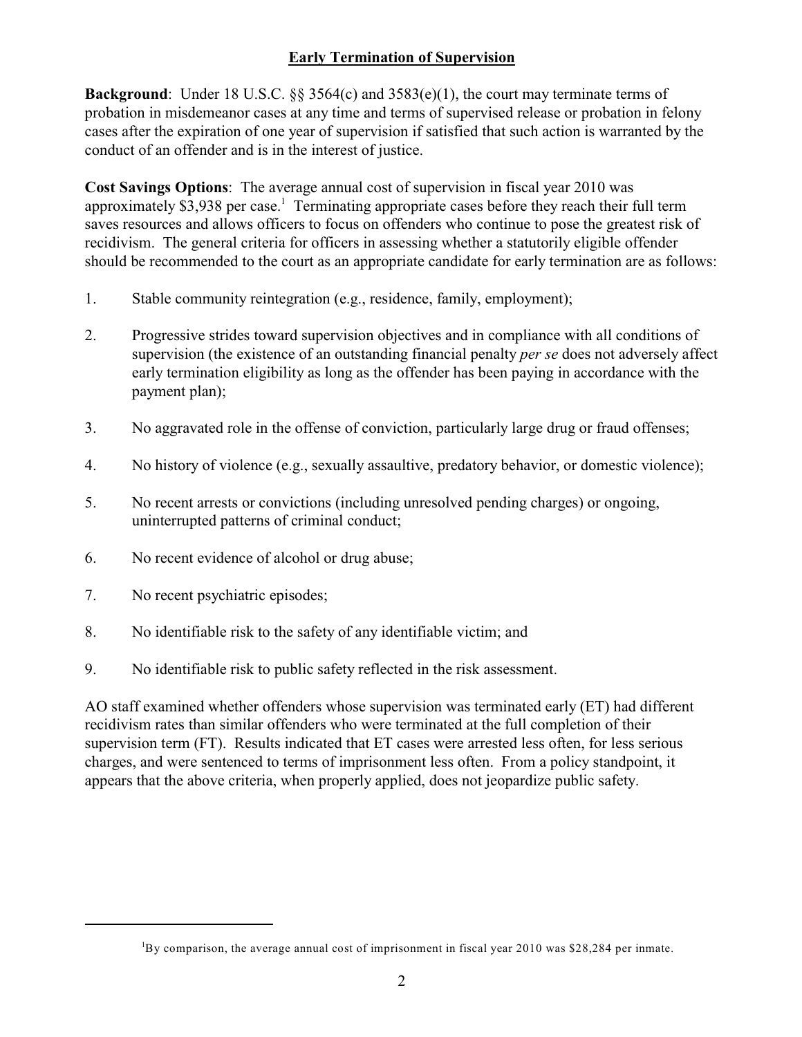# **Early Termination of Supervision**

**Background**: Under 18 U.S.C. §§ 3564(c) and 3583(e)(1), the court may terminate terms of probation in misdemeanor cases at any time and terms of supervised release or probation in felony cases after the expiration of one year of supervision if satisfied that such action is warranted by the conduct of an offender and is in the interest of justice.

**Cost Savings Options**: The average annual cost of supervision in fiscal year 2010 was approximately \$3,938 per case.<sup>1</sup> Terminating appropriate cases before they reach their full term saves resources and allows officers to focus on offenders who continue to pose the greatest risk of recidivism. The general criteria for officers in assessing whether a statutorily eligible offender should be recommended to the court as an appropriate candidate for early termination are as follows:

- 1. Stable community reintegration (e.g., residence, family, employment);
- 2. Progressive strides toward supervision objectives and in compliance with all conditions of supervision (the existence of an outstanding financial penalty *per se* does not adversely affect early termination eligibility as long as the offender has been paying in accordance with the payment plan);
- 3. No aggravated role in the offense of conviction, particularly large drug or fraud offenses;
- 4. No history of violence (e.g., sexually assaultive, predatory behavior, or domestic violence);
- 5. No recent arrests or convictions (including unresolved pending charges) or ongoing, uninterrupted patterns of criminal conduct;
- 6. No recent evidence of alcohol or drug abuse;
- 7. No recent psychiatric episodes;
- 8. No identifiable risk to the safety of any identifiable victim; and
- 9. No identifiable risk to public safety reflected in the risk assessment.

AO staff examined whether offenders whose supervision was terminated early (ET) had different recidivism rates than similar offenders who were terminated at the full completion of their supervision term (FT). Results indicated that ET cases were arrested less often, for less serious charges, and were sentenced to terms of imprisonment less often. From a policy standpoint, it appears that the above criteria, when properly applied, does not jeopardize public safety.

 ${}^{1}$ By comparison, the average annual cost of imprisonment in fiscal year 2010 was \$28,284 per inmate.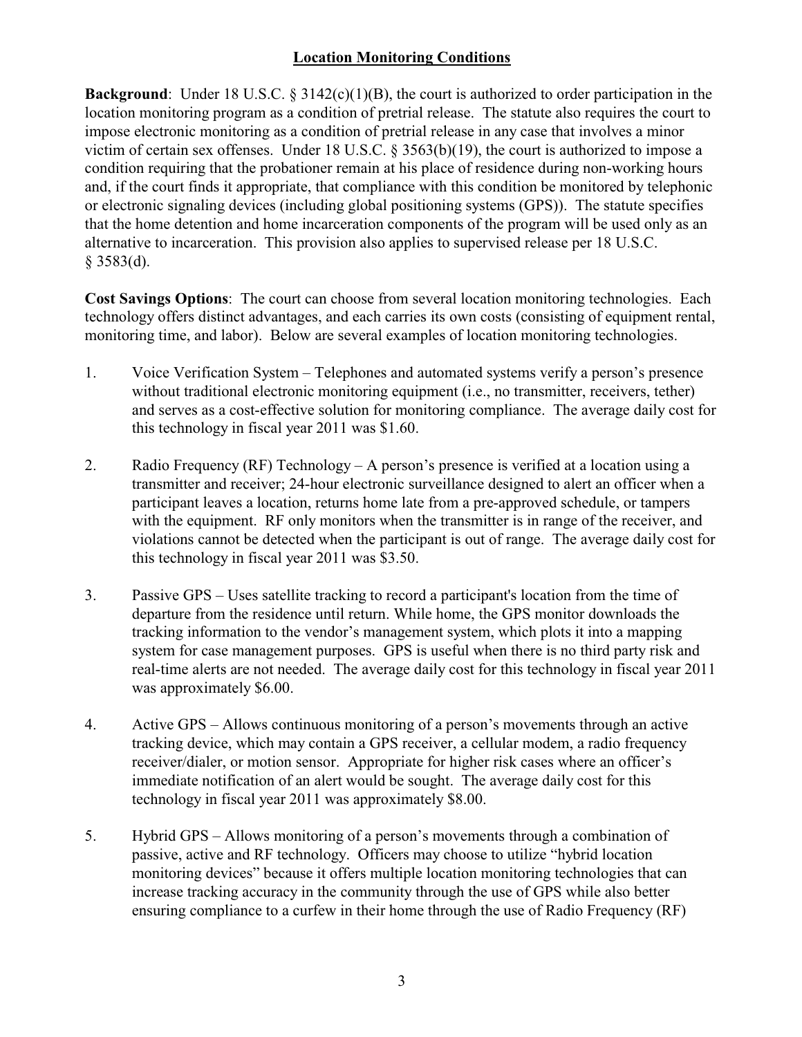## **Location Monitoring Conditions**

**Background**: Under 18 U.S.C. § 3142(c)(1)(B), the court is authorized to order participation in the location monitoring program as a condition of pretrial release. The statute also requires the court to impose electronic monitoring as a condition of pretrial release in any case that involves a minor victim of certain sex offenses. Under 18 U.S.C. § 3563(b)(19), the court is authorized to impose a condition requiring that the probationer remain at his place of residence during non-working hours and, if the court finds it appropriate, that compliance with this condition be monitored by telephonic or electronic signaling devices (including global positioning systems (GPS)). The statute specifies that the home detention and home incarceration components of the program will be used only as an alternative to incarceration. This provision also applies to supervised release per 18 U.S.C. § 3583(d).

**Cost Savings Options**: The court can choose from several location monitoring technologies. Each technology offers distinct advantages, and each carries its own costs (consisting of equipment rental, monitoring time, and labor). Below are several examples of location monitoring technologies.

- 1. Voice Verification System Telephones and automated systems verify a person's presence without traditional electronic monitoring equipment (i.e., no transmitter, receivers, tether) and serves as a cost-effective solution for monitoring compliance. The average daily cost for this technology in fiscal year 2011 was \$1.60.
- 2. Radio Frequency (RF) Technology A person's presence is verified at a location using a transmitter and receiver; 24-hour electronic surveillance designed to alert an officer when a participant leaves a location, returns home late from a pre-approved schedule, or tampers with the equipment. RF only monitors when the transmitter is in range of the receiver, and violations cannot be detected when the participant is out of range. The average daily cost for this technology in fiscal year 2011 was \$3.50.
- 3. Passive GPS Uses satellite tracking to record a participant's location from the time of departure from the residence until return. While home, the GPS monitor downloads the tracking information to the vendor's management system, which plots it into a mapping system for case management purposes. GPS is useful when there is no third party risk and real-time alerts are not needed. The average daily cost for this technology in fiscal year 2011 was approximately \$6.00.
- 4. Active GPS Allows continuous monitoring of a person's movements through an active tracking device, which may contain a GPS receiver, a cellular modem, a radio frequency receiver/dialer, or motion sensor. Appropriate for higher risk cases where an officer's immediate notification of an alert would be sought. The average daily cost for this technology in fiscal year 2011 was approximately \$8.00.
- 5. Hybrid GPS Allows monitoring of a person's movements through a combination of passive, active and RF technology. Officers may choose to utilize "hybrid location monitoring devices" because it offers multiple location monitoring technologies that can increase tracking accuracy in the community through the use of GPS while also better ensuring compliance to a curfew in their home through the use of Radio Frequency (RF)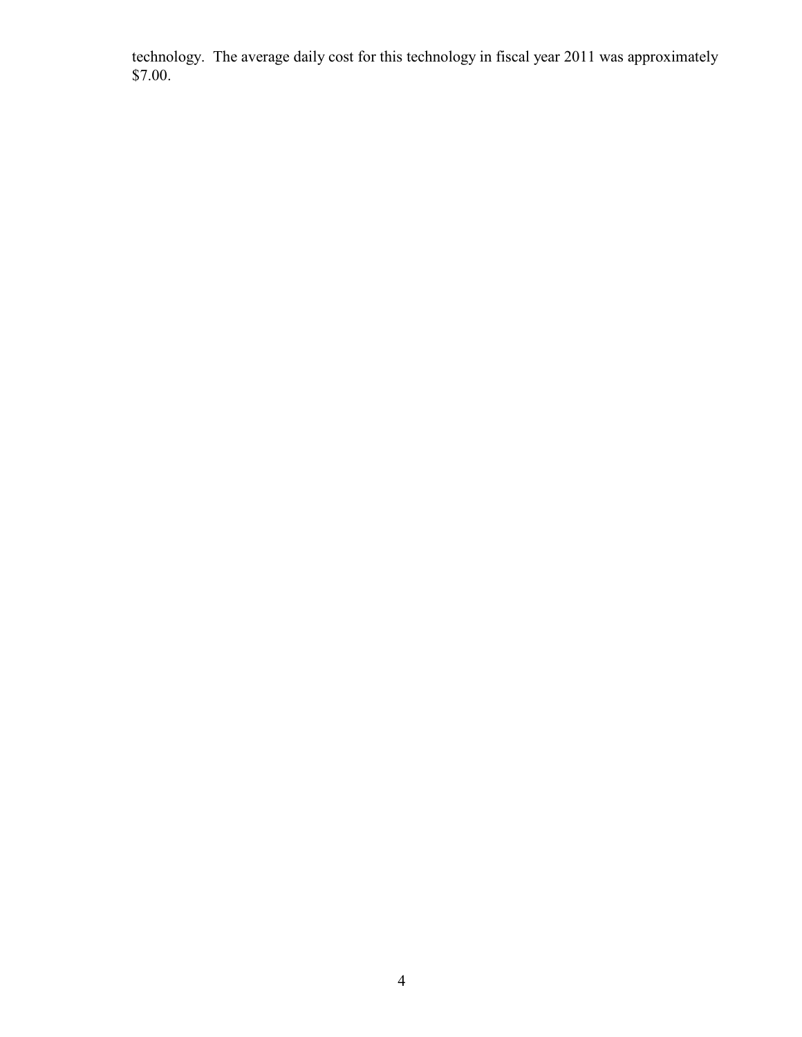technology. The average daily cost for this technology in fiscal year 2011 was approximately \$7.00.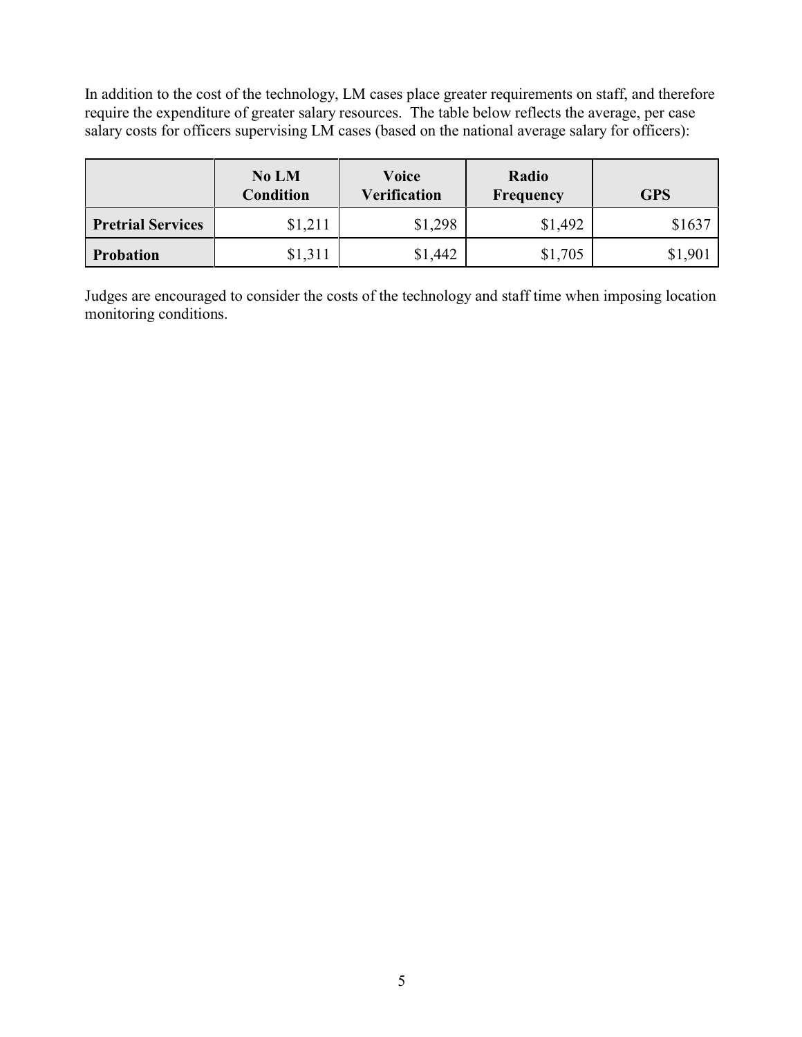In addition to the cost of the technology, LM cases place greater requirements on staff, and therefore require the expenditure of greater salary resources. The table below reflects the average, per case salary costs for officers supervising LM cases (based on the national average salary for officers):

|                          | No LM<br><b>Condition</b> | Voice<br><b>Verification</b> | Radio<br>Frequency | <b>GPS</b> |
|--------------------------|---------------------------|------------------------------|--------------------|------------|
| <b>Pretrial Services</b> | \$1,211                   | \$1,298                      | \$1,492            | \$1637     |
| <b>Probation</b>         | \$1,311                   | \$1,442                      | \$1,705            | \$1,901    |

Judges are encouraged to consider the costs of the technology and staff time when imposing location monitoring conditions.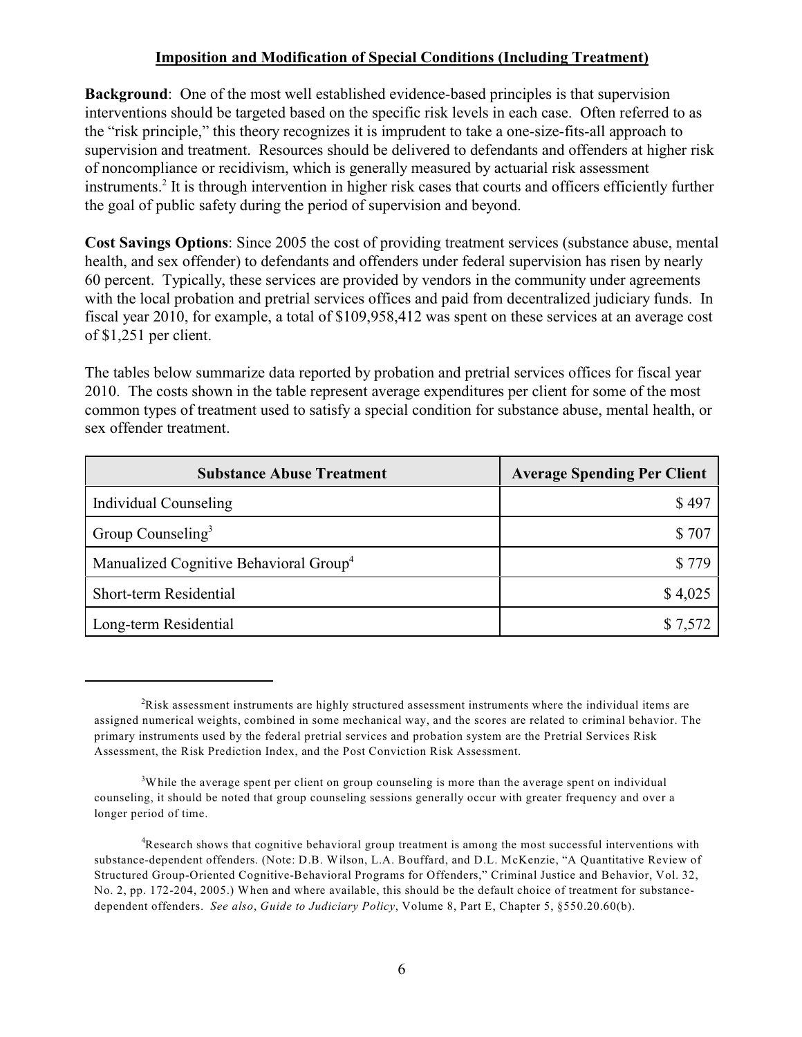### **Imposition and Modification of Special Conditions (Including Treatment)**

**Background**: One of the most well established evidence-based principles is that supervision interventions should be targeted based on the specific risk levels in each case. Often referred to as the "risk principle," this theory recognizes it is imprudent to take a one-size-fits-all approach to supervision and treatment. Resources should be delivered to defendants and offenders at higher risk of noncompliance or recidivism, which is generally measured by actuarial risk assessment instruments.<sup>2</sup> It is through intervention in higher risk cases that courts and officers efficiently further the goal of public safety during the period of supervision and beyond.

**Cost Savings Options**: Since 2005 the cost of providing treatment services (substance abuse, mental health, and sex offender) to defendants and offenders under federal supervision has risen by nearly 60 percent. Typically, these services are provided by vendors in the community under agreements with the local probation and pretrial services offices and paid from decentralized judiciary funds. In fiscal year 2010, for example, a total of \$109,958,412 was spent on these services at an average cost of \$1,251 per client.

The tables below summarize data reported by probation and pretrial services offices for fiscal year 2010. The costs shown in the table represent average expenditures per client for some of the most common types of treatment used to satisfy a special condition for substance abuse, mental health, or sex offender treatment.

| <b>Substance Abuse Treatment</b>                   | <b>Average Spending Per Client</b> |
|----------------------------------------------------|------------------------------------|
| Individual Counseling                              | \$497                              |
| Group Counseling <sup>3</sup>                      | \$707                              |
| Manualized Cognitive Behavioral Group <sup>4</sup> | S 779                              |
| Short-term Residential                             | \$4,025                            |
| Long-term Residential                              | \$7,572                            |

 $R$  Risk assessment instruments are highly structured assessment instruments where the individual items are assigned numerical weights, combined in some mechanical way, and the scores are related to criminal behavior. The primary instruments used by the federal pretrial services and probation system are the Pretrial Services Risk Assessment, the Risk Prediction Index, and the Post Conviction Risk Assessment.

 $3$ While the average spent per client on group counseling is more than the average spent on individual counseling, it should be noted that group counseling sessions generally occur with greater frequency and over a longer period of time.

<sup>&</sup>lt;sup>4</sup>Research shows that cognitive behavioral group treatment is among the most successful interventions with substance-dependent offenders. (Note: D.B. Wilson, L.A. Bouffard, and D.L. McKenzie, "A Quantitative Review of Structured Group-Oriented Cognitive-Behavioral Programs for Offenders," Criminal Justice and Behavior, Vol. 32, No. 2, pp. 172-204, 2005.) When and where available, this should be the default choice of treatment for substancedependent offenders. *See also*, *Guide to Judiciary Policy*, Volume 8, Part E, Chapter 5, §550.20.60(b).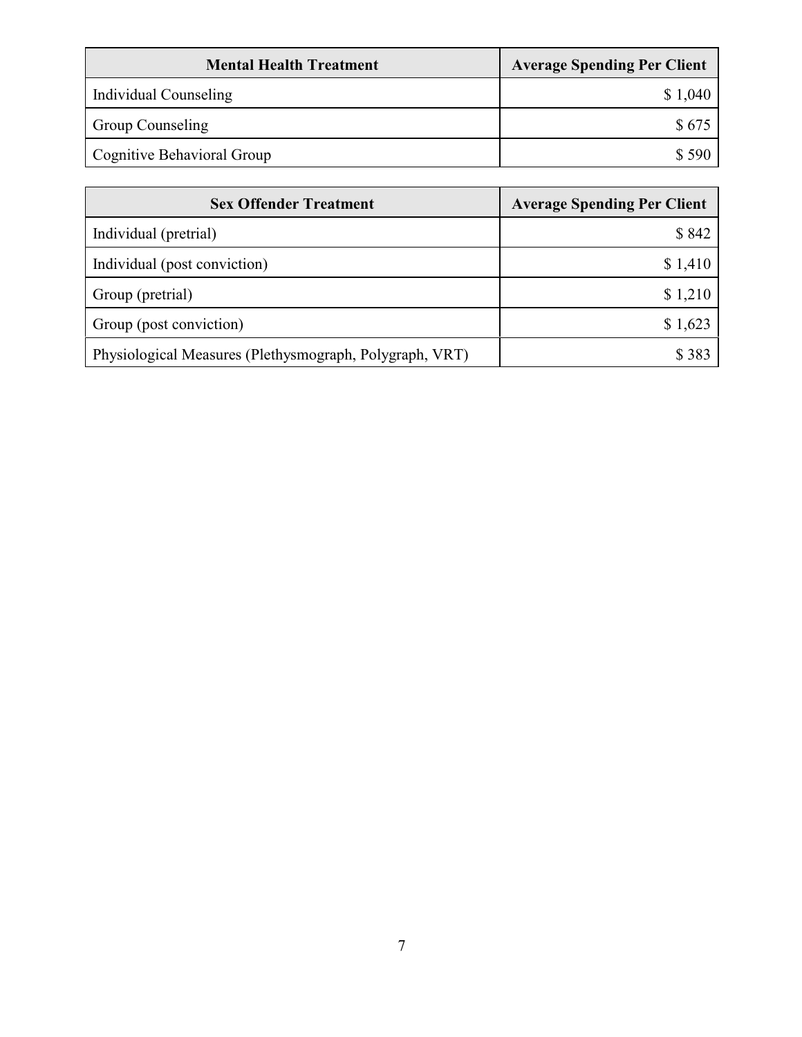| <b>Mental Health Treatment</b> | <b>Average Spending Per Client</b> |
|--------------------------------|------------------------------------|
| Individual Counseling          | \$1,040                            |
| <b>Group Counseling</b>        | \$675                              |
| Cognitive Behavioral Group     | \$ 590                             |

| <b>Sex Offender Treatment</b>                           | <b>Average Spending Per Client</b> |
|---------------------------------------------------------|------------------------------------|
| Individual (pretrial)                                   | \$842                              |
| Individual (post conviction)                            | \$1,410                            |
| Group (pretrial)                                        | \$1,210                            |
| Group (post conviction)                                 | \$1,623                            |
| Physiological Measures (Plethysmograph, Polygraph, VRT) | \$ 383                             |